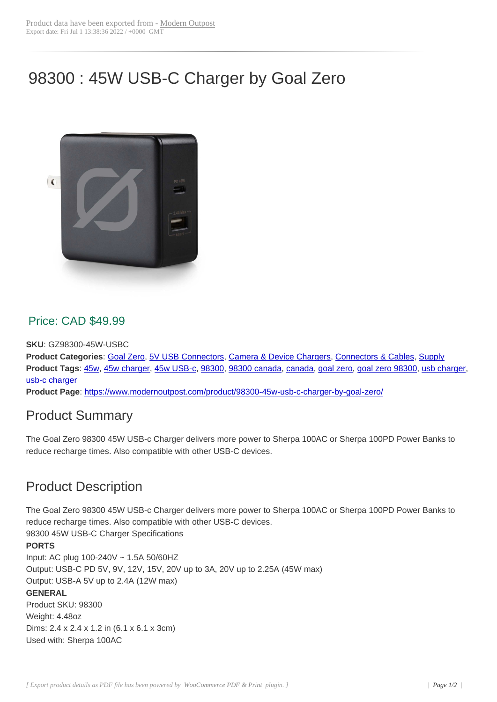# 98300 : 45W USB-C Charger by Goal Zero



#### Price: CAD \$49.99

**SKU**: GZ98300-45W-USBC

**Product Categories**: Goal Zero, 5V USB Connectors, Camera & Device Chargers, Connectors & Cables, Supply **Product Tags**: 45w, 45w charger, 45w USB-c, 98300, 98300 canada, canada, goal zero, goal zero 98300, usb charger, usb-c charger

**Product Page**: https:/[/www.mod](https://www.modernoutpost.com/product-category/solar-equipment-store-canada/solar-power-system-wiring-canada/electrical-connectors-canada/goal-zero/)[ernoutpost.com/produ](https://www.modernoutpost.com/product-category/solar-equipment-store-canada/solar-power-system-wiring-canada/electrical-connectors-canada/usb-connector-cables/)[ct/98300-45w-usb-c-charger](https://www.modernoutpost.com/product-category/solar-equipment-store-canada/battery-charging-system-parts-canada/camera-and-device-chargers/)-[by-goal-zero/](https://www.modernoutpost.com/product-category/solar-equipment-store-canada/solar-power-system-wiring-canada/electrical-connectors-canada/)

### [Product S](https://www.modernoutpost.com/product-tag/usb-c-charger/)[um](https://www.modernoutpost.com/product-tag/45w/)[mary](https://www.modernoutpost.com/product-tag/45w-charger/)

The Goal Zero [98300 45W USB-c Charger delivers more power to Sherpa 100AC or Sherpa 100P](https://www.modernoutpost.com/product/98300-45w-usb-c-charger-by-goal-zero/)D Power Banks to reduce recharge times. Also compatible with other USB-C devices.

## Product Description

The Goal Zero 98300 45W USB-c Charger delivers more power to Sherpa 100AC or Sherpa 100PD Power Banks to reduce recharge times. Also compatible with other USB-C devices. 98300 45W USB-C Charger Specifications

#### **PORTS**

Input: AC plug 100-240V ~ 1.5A 50/60HZ Output: USB-C PD 5V, 9V, 12V, 15V, 20V up to 3A, 20V up to 2.25A (45W max) Output: USB-A 5V up to 2.4A (12W max) **GENERAL** Product SKU: 98300 Weight: 4.48oz Dims: 2.4 x 2.4 x 1.2 in (6.1 x 6.1 x 3cm) Used with: Sherpa 100AC